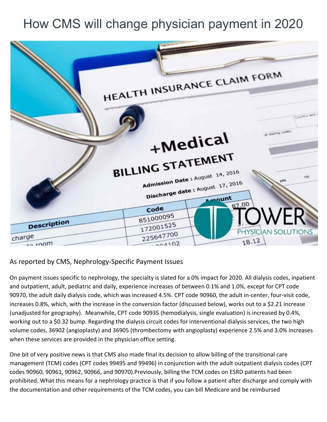## How CMS will change physician payment in 2020



## As reported by CMS, Nephrology-Specific Payment Issues

On payment issues specific to nephrology, the specialty is slated for a 0% impact for 2020. All dialysis codes, inpatient and outpatient, adult, pediatric and daily, experience increases of between 0.1% and 1.0%, except for CPT code 90970, the adult daily dialysis code, which was increased 4.5%. CPT code 90960, the adult in-center, four-visit code, increases 0.8%, which, with the increase in the conversion factor (discussed below), works out to a \$2.21 increase (unadjusted for geography). Meanwhile, CPT code 90935 (hemodialysis, single evaluation) is increased by 0.4%, working out to a \$0.32 bump. Regarding the dialysis circuit codes for interventional dialysis services, the two high volume codes, 36902 (angioplasty) and 36905 (thrombectomy with angioplasty) experience 2.5% and 3.0% increases when these services are provided in the physician office setting.

One bit of very positive news is that CMS also made final its decision to allow billing of the transitional care management (TCM) codes (CPT codes 99495 and 99496) in conjunction with the adult outpatient dialysis codes (CPT codes 90960, 90961, 90962, 90966, and 90970).Previously, billing the TCM codes on ESRD patients had been prohibited. What this means for a nephrology practice is that if you follow a patient after discharge and comply with the documentation and other requirements of the TCM codes, you can bill Medicare and be reimbursed